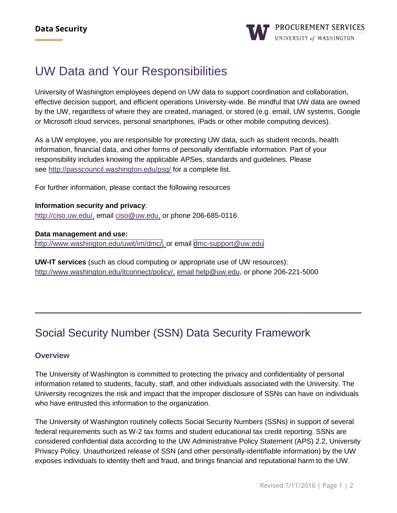# UW Data and Your Responsibilities

University of Washington employees depend on UW data to support coordination and collaboration, effective decision support, and efficient operations University-wide. Be mindful that UW data are owned by the UW, regardless of where they are created, managed, or stored (e.g. email, UW systems, Google or Microsoft cloud services, personal smartphones, iPads or other mobile computing devices).

As a UW employee, you are responsible for protecting UW data, such as student records, health information, financial data, and other forms of personally identifiable information. Part of your responsibility includes knowing the applicable APSes, standards and guidelines. Please see <http://passcouncil.washington.edu/psg/> for a complete list.

For further information, please contact the following resources

**Information security and privacy**: [http://ciso.uw.edu/,](http://ciso.uw.edu/) email [ciso@uw.edu,](mailto:ciso@uw.edu) or phone 206-685-0116

**Data management and use:** [http://www.washington.edu/uwit/im/dmc/,](http://www.washington.edu/uwit/im/dmc/) or email [dmc-support@uw.edu](mailto:dmc-support@uw.edu)

**UW-IT services** (such as cloud computing or appropriate use of UW resources): [http://www.washington.edu/itconnect/policy/,](http://www.washington.edu/itconnect/policy/) email [help@uw.edu,](mailto:help@uw.edu) or phone 206-221-5000

## [Social Security Number \(SSN\) Data Security Framework](http://f2.washington.edu/fm/payroll/ssn-dsi)

#### **Overview**

The University of Washington is committed to protecting the privacy and confidentiality of personal information related to students, faculty, staff, and other individuals associated with the University. The University recognizes the risk and impact that the improper disclosure of SSNs can have on individuals who have entrusted this information to the organization.

The University of Washington routinely collects Social Security Numbers (SSNs) in support of several federal requirements such as W-2 tax forms and student educational tax credit reporting. SSNs are considered confidential data according to the UW Administrative Policy Statement (APS) 2.2, University Privacy Policy. Unauthorized release of SSN (and other personally-identifiable information) by the UW exposes individuals to identity theft and fraud, and brings financial and reputational harm to the UW.